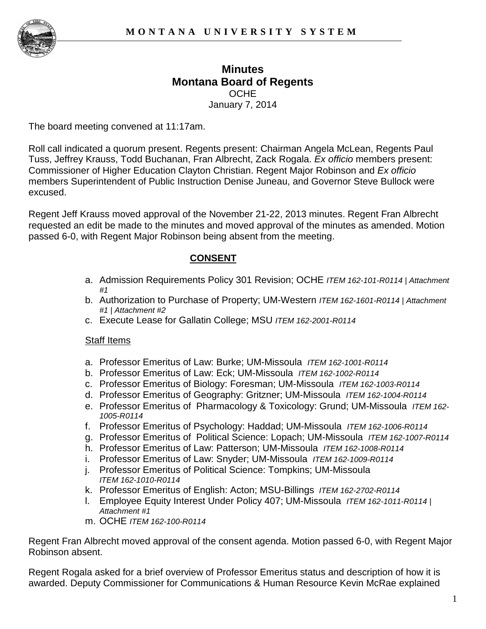

# **Minutes Montana Board of Regents OCHE** January 7, 2014

The board meeting convened at 11:17am.

Roll call indicated a quorum present. Regents present: Chairman Angela McLean, Regents Paul Tuss, Jeffrey Krauss, Todd Buchanan, Fran Albrecht, Zack Rogala. *Ex officio* members present: Commissioner of Higher Education Clayton Christian. Regent Major Robinson and *Ex officio* members Superintendent of Public Instruction Denise Juneau, and Governor Steve Bullock were excused.

Regent Jeff Krauss moved approval of the November 21-22, 2013 minutes. Regent Fran Albrecht requested an edit be made to the minutes and moved approval of the minutes as amended. Motion passed 6-0, with Regent Major Robinson being absent from the meeting.

## **CONSENT**

- a. Admission Requirements Policy 301 Revision; OCHE *ITEM 162-101-R0114 | Attachment #1*
- b. Authorization to Purchase of Property; UM-Western *ITEM 162-1601-R0114 | Attachment #1 | Attachment #2*
- c. Execute Lease for Gallatin College; MSU *ITEM 162-2001-R0114*

#### Staff Items

- a. Professor Emeritus of Law: Burke; UM-Missoula *ITEM 162-1001-R0114*
- b. Professor Emeritus of Law: Eck; UM-Missoula *ITEM 162-1002-R0114*
- c. Professor Emeritus of Biology: Foresman; UM-Missoula *ITEM 162-1003-R0114*
- d. Professor Emeritus of Geography: Gritzner; UM-Missoula *ITEM 162-1004-R0114*
- e. Professor Emeritus of Pharmacology & Toxicology: Grund; UM-Missoula *ITEM 162- 1005-R0114*
- f. Professor Emeritus of Psychology: Haddad; UM-Missoula *ITEM 162-1006-R0114*
- g. Professor Emeritus of Political Science: Lopach; UM-Missoula *ITEM 162-1007-R0114*
- h. Professor Emeritus of Law: Patterson; UM-Missoula *ITEM 162-1008-R0114*
- i. Professor Emeritus of Law: Snyder; UM-Missoula *ITEM 162-1009-R0114*
- j. Professor Emeritus of Political Science: Tompkins; UM-Missoula *ITEM 162-1010-R0114*
- k. Professor Emeritus of English: Acton; MSU-Billings *ITEM 162-2702-R0114*
- l. Employee Equity Interest Under Policy 407; UM-Missoula *ITEM 162-1011-R0114 | Attachment #1*
- m. OCHE *ITEM 162-100-R0114*

Regent Fran Albrecht moved approval of the consent agenda. Motion passed 6-0, with Regent Major Robinson absent.

Regent Rogala asked for a brief overview of Professor Emeritus status and description of how it is awarded. Deputy Commissioner for Communications & Human Resource Kevin McRae explained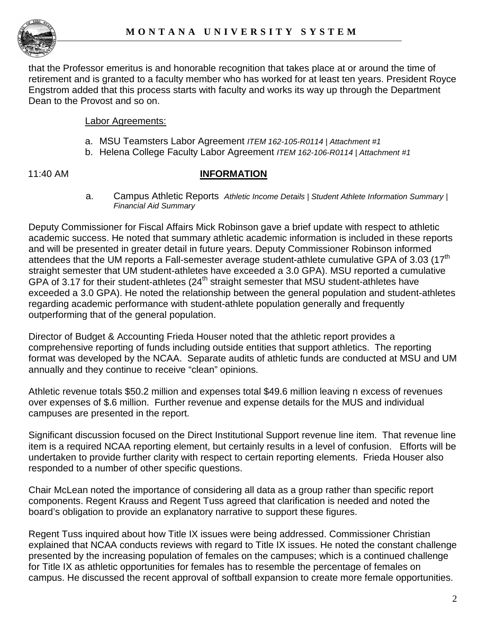

that the Professor emeritus is and honorable recognition that takes place at or around the time of retirement and is granted to a faculty member who has worked for at least ten years. President Royce Engstrom added that this process starts with faculty and works its way up through the Department Dean to the Provost and so on.

#### Labor Agreements:

- a. MSU Teamsters Labor Agreement *ITEM 162-105-R0114 | Attachment #1*
- b. Helena College Faculty Labor Agreement *ITEM 162-106-R0114 | Attachment #1*

### 11:40 AM **INFORMATION**

a. Campus Athletic Reports *Athletic Income Details | Student Athlete Information Summary | Financial Aid Summary*

Deputy Commissioner for Fiscal Affairs Mick Robinson gave a brief update with respect to athletic academic success. He noted that summary athletic academic information is included in these reports and will be presented in greater detail in future years. Deputy Commissioner Robinson informed attendees that the UM reports a Fall-semester average student-athlete cumulative GPA of 3.03 (17<sup>th</sup> straight semester that UM student-athletes have exceeded a 3.0 GPA). MSU reported a cumulative GPA of 3.17 for their student-athletes (24<sup>th</sup> straight semester that MSU student-athletes have exceeded a 3.0 GPA). He noted the relationship between the general population and student-athletes regarding academic performance with student-athlete population generally and frequently outperforming that of the general population.

Director of Budget & Accounting Frieda Houser noted that the athletic report provides a comprehensive reporting of funds including outside entities that support athletics. The reporting format was developed by the NCAA. Separate audits of athletic funds are conducted at MSU and UM annually and they continue to receive "clean" opinions.

Athletic revenue totals \$50.2 million and expenses total \$49.6 million leaving n excess of revenues over expenses of \$.6 million. Further revenue and expense details for the MUS and individual campuses are presented in the report.

Significant discussion focused on the Direct Institutional Support revenue line item. That revenue line item is a required NCAA reporting element, but certainly results in a level of confusion. Efforts will be undertaken to provide further clarity with respect to certain reporting elements. Frieda Houser also responded to a number of other specific questions.

Chair McLean noted the importance of considering all data as a group rather than specific report components. Regent Krauss and Regent Tuss agreed that clarification is needed and noted the board's obligation to provide an explanatory narrative to support these figures.

Regent Tuss inquired about how Title IX issues were being addressed. Commissioner Christian explained that NCAA conducts reviews with regard to Title IX issues. He noted the constant challenge presented by the increasing population of females on the campuses; which is a continued challenge for Title IX as athletic opportunities for females has to resemble the percentage of females on campus. He discussed the recent approval of softball expansion to create more female opportunities.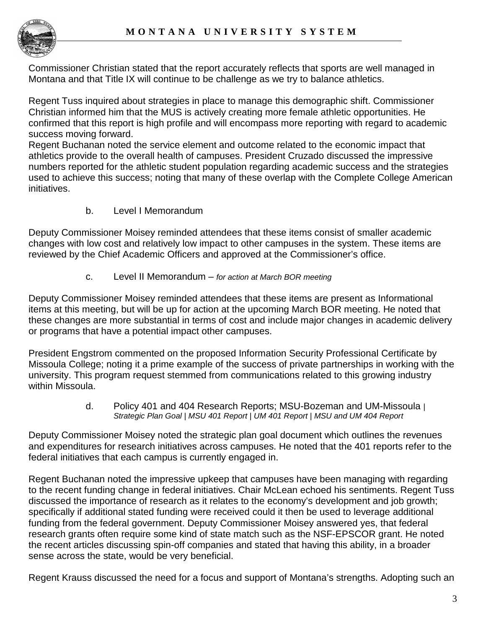

Commissioner Christian stated that the report accurately reflects that sports are well managed in Montana and that Title IX will continue to be challenge as we try to balance athletics.

Regent Tuss inquired about strategies in place to manage this demographic shift. Commissioner Christian informed him that the MUS is actively creating more female athletic opportunities. He confirmed that this report is high profile and will encompass more reporting with regard to academic success moving forward.

Regent Buchanan noted the service element and outcome related to the economic impact that athletics provide to the overall health of campuses. President Cruzado discussed the impressive numbers reported for the athletic student population regarding academic success and the strategies used to achieve this success; noting that many of these overlap with the Complete College American initiatives.

b. Level I Memorandum

Deputy Commissioner Moisey reminded attendees that these items consist of smaller academic changes with low cost and relatively low impact to other campuses in the system. These items are reviewed by the Chief Academic Officers and approved at the Commissioner's office.

c. Level II Memorandum – *for action at March BOR meeting*

Deputy Commissioner Moisey reminded attendees that these items are present as Informational items at this meeting, but will be up for action at the upcoming March BOR meeting. He noted that these changes are more substantial in terms of cost and include major changes in academic delivery or programs that have a potential impact other campuses.

President Engstrom commented on the proposed Information Security Professional Certificate by Missoula College; noting it a prime example of the success of private partnerships in working with the university. This program request stemmed from communications related to this growing industry within Missoula.

> d. Policy 401 and 404 Research Reports; MSU-Bozeman and UM-Missoula *| Strategic Plan Goal | MSU 401 Report | UM 401 Report | MSU and UM 404 Report*

Deputy Commissioner Moisey noted the strategic plan goal document which outlines the revenues and expenditures for research initiatives across campuses. He noted that the 401 reports refer to the federal initiatives that each campus is currently engaged in.

Regent Buchanan noted the impressive upkeep that campuses have been managing with regarding to the recent funding change in federal initiatives. Chair McLean echoed his sentiments. Regent Tuss discussed the importance of research as it relates to the economy's development and job growth; specifically if additional stated funding were received could it then be used to leverage additional funding from the federal government. Deputy Commissioner Moisey answered yes, that federal research grants often require some kind of state match such as the NSF-EPSCOR grant. He noted the recent articles discussing spin-off companies and stated that having this ability, in a broader sense across the state, would be very beneficial.

Regent Krauss discussed the need for a focus and support of Montana's strengths. Adopting such an